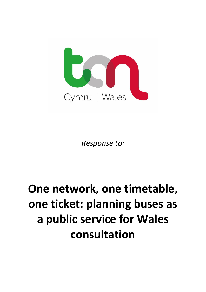

*Response to:*

## **One network, one timetable, one ticket: planning buses as a public service for Wales consultation**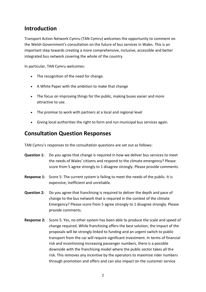## **Introduction**

Transport Action Network Cymru (TAN Cymru) welcomes the opportunity to comment on the Welsh Government's consultation on the future of bus services in Wales. This is an important step towards creating a more comprehensive, inclusive, accessible and better integrated bus network covering the whole of the country.

In particular, TAN Cymru welcomes:

- The recognition of the need for change.
- A White Paper with the ambition to make that change
- The focus on improving things for the public, making buses easier and more attractive to use.
- The promise to work with partners at a local and regional level
- Giving local authorities the right to form and run municipal bus services again.

## **Consultation Question Responses**

TAN Cymru's responses to the consultation questions are set out as follows:

- **Question 1:** Do you agree that change is required in how we deliver bus services to meet the needs of Wales' citizens and respond to the climate emergency? Please score from 5 agree strongly to 1 disagree strongly. Please provide comments.
- **Response 1:** Score 5: The current system is failing to meet the needs of the public. It is expensive, inefficient and unreliable.
- **Question 2:** Do you agree that franchising is required to deliver the depth and pace of change to the bus network that is required in the context of the climate Emergency? Please score from 5 agree strongly to 1 disagree strongly. Please provide comments.
- **Response 2:** Score 5: Yes, no other system has been able to produce the scale and speed of change required. While franchising offers the best solution, the impact of the proposals will be strongly linked to funding and an urgent switch to public transport from the car will require significant investment. In terms of financial risk and incentivising increasing passenger numbers, there is a possible downside with the franchising model where the public sector takes all the risk. This removes any incentive by the operators to maximise rider numbers through promotion and offers and can also impact on the customer service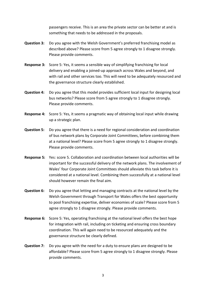passengers receive. This is an area the private sector can be better at and is something that needs to be addressed in the proposals.

- **Question 3:** Do you agree with the Welsh Government's preferred franchising model as described above? Please score from 5 agree strongly to 1 disagree strongly. Please provide comments.
- **Response 3:** Score 5: Yes, it seems a sensible way of simplifying franchising for local delivery and enabling a joined-up approach across Wales and beyond, and with rail and other services too. This will need to be adequately resourced and the governance structure clearly established.
- **Question 4:** Do you agree that this model provides sufficient local input for designing local bus networks? Please score from 5 agree strongly to 1 disagree strongly. Please provide comments.
- **Response 4:** Score 5: Yes, it seems a pragmatic way of obtaining local input while drawing up a strategic plan.
- **Question 5:** Do you agree that there is a need for regional consideration and coordination of bus network plans by Corporate Joint Committees, before combining them at a national level? Please score from 5 agree strongly to 1 disagree strongly. Please provide comments.
- **Response 5:** Yes: score 5. Collaboration and coordination between local authorities will be important for the successful delivery of the network plans. The involvement of Wales' four Corporate Joint Committees should alleviate this task before it is considered at a national level. Combining them successfully at a national level should however remain the final aim.
- **Question 6:** Do you agree that letting and managing contracts at the national level by the Welsh Government through Transport for Wales offers the best opportunity to pool franchising expertise, deliver economies of scale? Please score from 5 agree strongly to 1 disagree strongly. Please provide comments.
- **Response 6:** Score 5: Yes, operating franchising at the national level offers the best hope for integration with rail, including on ticketing and ensuring cross boundary coordination. This will again need to be resourced adequately and the governance structure be clearly defined.
- **Question 7:** Do you agree with the need for a duty to ensure plans are designed to be affordable? Please score from 5 agree strongly to 1 disagree strongly. Please provide comments.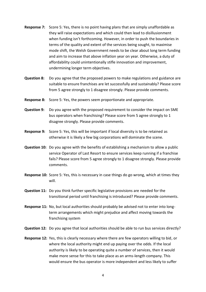- **Response 7:** Score 5: Yes, there is no point having plans that are simply unaffordable as they will raise expectations and which could then lead to disillusionment when funding isn't forthcoming. However, in order to push the boundaries in terms of the quality and extent of the services being sought, to maximise mode shift, the Welsh Government needs to be clear about long term funding and aim to increase that above inflation year on year. Otherwise, a duty of affordability could unintentionally stifle innovation and improvement, undermining longer term objectives.
- **Question 8:** Do you agree that the proposed powers to make regulations and guidance are suitable to ensure franchises are let successfully and sustainably? Please score from 5 agree strongly to 1 disagree strongly. Please provide comments.
- **Response 8:** Score 5: Yes, the powers seem proportionate and appropriate.
- **Question 9:** Do you agree with the proposed requirement to consider the impact on SME bus operators when franchising? Please score from 5 agree strongly to 1 disagree strongly. Please provide comments.
- **Response 9:** Score 5: Yes, this will be important if local diversity is to be retained as otherwise it is likely a few big corporations will dominate the scene.
- **Question 10:** Do you agree with the benefits of establishing a mechanism to allow a public service Operator of Last Resort to ensure services keep running if a franchise fails? Please score from 5 agree strongly to 1 disagree strongly. Please provide comments.
- **Response 10:** Score 5: Yes, this is necessary in case things do go wrong, which at times they will.
- **Question 11:** Do you think further specific legislative provisions are needed for the transitional period until franchising is introduced? Please provide comments.
- **Response 11:** No, but local authorities should probably be advised not to enter into longterm arrangements which might prejudice and affect moving towards the franchising system
- **Question 12:** Do you agree that local authorities should be able to run bus services directly?
- **Response 12:** Yes, this is clearly necessary where there are few operators willing to bid, or where the local authority might end up paying over the odds. If the local authority is likely to be operating quite a number of services, then it would make more sense for this to take place as an arms-length company. This would ensure the bus operator is more independent and less likely to suffer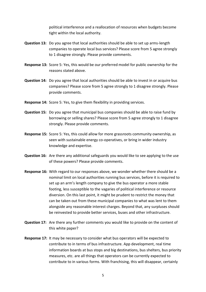political interference and a reallocation of resources when budgets become tight within the local authority.

- **Question 13:** Do you agree that local authorities should be able to set up arms-length companies to operate local bus services? Please score from 5 agree strongly to 1 disagree strongly. Please provide comments.
- **Response 13:** Score 5: Yes, this would be our preferred model for public ownership for the reasons stated above.
- **Question 14:** Do you agree that local authorities should be able to invest in or acquire bus companies? Please score from 5 agree strongly to 1 disagree strongly. Please provide comments.
- **Response 14:** Score 5: Yes, to give them flexibility in providing services.
- **Question 15:** Do you agree that municipal bus companies should be able to raise fund by borrowing or selling shares? Please score from 5 agree strongly to 1 disagree strongly. Please provide comments.
- **Response 15:** Score 5: Yes, this could allow for more grassroots community ownership, as seen with sustainable energy co-operatives, or bring in wider industry knowledge and expertise.
- **Question 16:** Are there any additional safeguards you would like to see applying to the use of these powers? Please provide comments.
- **Response 16:** With regard to our responses above, we wonder whether there should be a nominal limit on local authorities running bus services, before it is required to set up an arm's length company to give the bus operator a more stable footing, less susceptible to the vagaries of political interference or resource diversion. On this last point, it might be prudent to restrict the money that can be taken out from these municipal companies to what was lent to them alongside any reasonable interest charges. Beyond that, any surpluses should be reinvested to provide better services, buses and other infrastructure.
- **Question 17:** Are there any further comments you would like to provide on the content of this white paper?
- **Response 17:** It may be necessary to consider what bus operators will be expected to contribute to in terms of bus infrastructure. App development, real time information boards at bus stops and big destinations, bus shelters, bus priority measures, etc. are all things that operators can be currently expected to contribute to in various forms. With franchising, this will disappear, certainly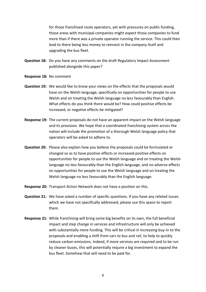for those franchised route operators, yet with pressures on public funding, those areas with municipal companies might expect those companies to fund more than if there was a private operator running the service. This could then lead to there being less money to reinvest in the company itself and upgrading the bus fleet.

- **Question 18:** Do you have any comments on the draft Regulatory Impact Assessment published alongside this paper?
- **Response 18:** No comment
- **Question 19:** We would like to know your views on the effects that the proposals would have on the Welsh language, specifically on opportunities for people to use Welsh and on treating the Welsh language no less favourably than English. What effects do you think there would be? How could positive effects be increased, or negative effects be mitigated?
- **Response 19:** The current proposals do not have an apparent impact on the Welsh language and its provision. We hope that a coordinated franchising system across the nation will include the promotion of a thorough Welsh language policy that operators will be asked to adhere to.
- **Question 20:** Please also explain how you believe the proposals could be formulated or changed so as to have positive effects or increased positive effects on opportunities for people to use the Welsh language and on treating the Welsh language no less favourably than the English language, and no adverse effects on opportunities for people to use the Welsh language and on treating the Welsh language no less favourably than the English language.
- **Response 20:** Transport Action Network does not have a position on this.
- **Question 21:** We have asked a number of specific questions. If you have any related issues which we have not specifically addressed, please use this space to report them.
- **Response 21:** While franchising will bring some big benefits on its own, the full beneficial impact and step change in services and infrastructure will only be achieved with substantially more funding. This will be critical in increasing buy-in to the proposals and enabling a shift from cars to bus and rail, to help to quickly reduce carbon emissions. Indeed, if more services are required and to be run by cleaner buses, this will potentially require a big investment to expand the bus fleet. Somehow that will need to be paid for.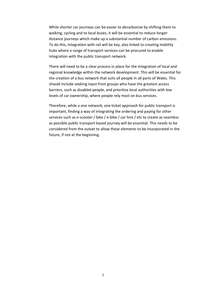While shorter car journeys can be easier to decarbonise by shifting them to walking, cycling and to local buses, it will be essential to reduce longer distance journeys which make up a substantial number of carbon emissions. To do this, integration with rail will be key, also linked to creating mobility hubs where a range of transport services can be procured to enable integration with the public transport network.

There will need to be a clear process in place for the integration of local and regional knowledge within the network development. This will be essential for the creation of a bus network that suits all people in all parts of Wales. This should include seeking input from groups who have the greatest access barriers, such as disabled people, and prioritise local authorities with low levels of car ownership, where people rely most on bus services.

Therefore, while a one network, one ticket approach for public transport is important, finding a way of integrating the ordering and paying for other services such as e-scooter / bike / e-bike / car hire / etc to create as seamless as possible public transport based journey will be essential. This needs to be considered from the outset to allow these elements to be incorporated in the future, if not at the beginning.